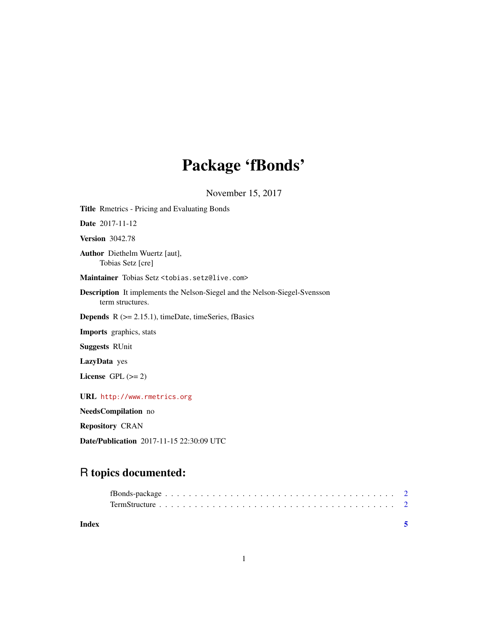## Package 'fBonds'

November 15, 2017

Title Rmetrics - Pricing and Evaluating Bonds Date 2017-11-12 Version 3042.78 Author Diethelm Wuertz [aut], Tobias Setz [cre] Maintainer Tobias Setz <tobias.setz@live.com> Description It implements the Nelson-Siegel and the Nelson-Siegel-Svensson term structures. **Depends**  $R$  ( $>= 2.15.1$ ), timeDate, timeSeries, fBasics Imports graphics, stats Suggests RUnit LazyData yes License GPL  $(>= 2)$ URL <http://www.rmetrics.org> NeedsCompilation no Repository CRAN Date/Publication 2017-11-15 22:30:09 UTC

### R topics documented:

| Index |  |
|-------|--|
|       |  |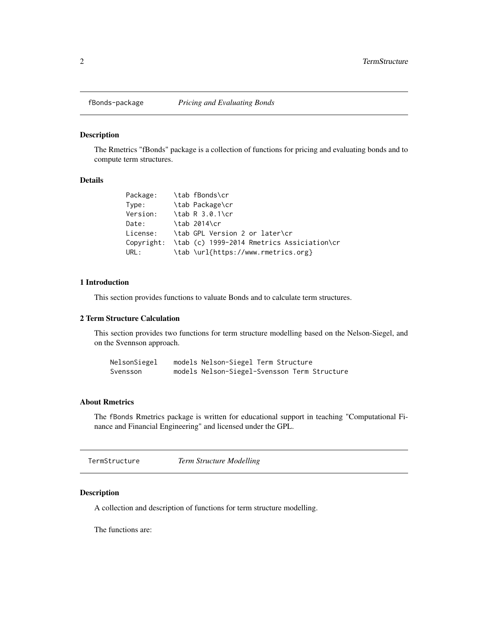<span id="page-1-0"></span>

#### Description

The Rmetrics "fBonds" package is a collection of functions for pricing and evaluating bonds and to compute term structures.

#### Details

| Package: | \tab fBonds\cr                                        |
|----------|-------------------------------------------------------|
| Type:    | \tab Package\cr                                       |
| Version: | \tab R 3.0.1\cr                                       |
| Date:    | \tab 2014\cr                                          |
| License: | \tab GPL Version 2 or later\cr                        |
|          | Copyright: \tab (c) 1999-2014 Rmetrics Assiciation\cr |
| URL:     | \tab \url{https://www.rmetrics.org}                   |

#### 1 Introduction

This section provides functions to valuate Bonds and to calculate term structures.

#### 2 Term Structure Calculation

This section provides two functions for term structure modelling based on the Nelson-Siegel, and on the Svennson approach.

| NelsonSiegel | models Nelson-Siegel Term Structure          |
|--------------|----------------------------------------------|
| Svensson     | models Nelson-Siegel-Svensson Term Structure |

#### About Rmetrics

The fBonds Rmetrics package is written for educational support in teaching "Computational Finance and Financial Engineering" and licensed under the GPL.

| TermStructure | <b>Term Structure Modelling</b> |
|---------------|---------------------------------|
|---------------|---------------------------------|

#### Description

A collection and description of functions for term structure modelling.

The functions are: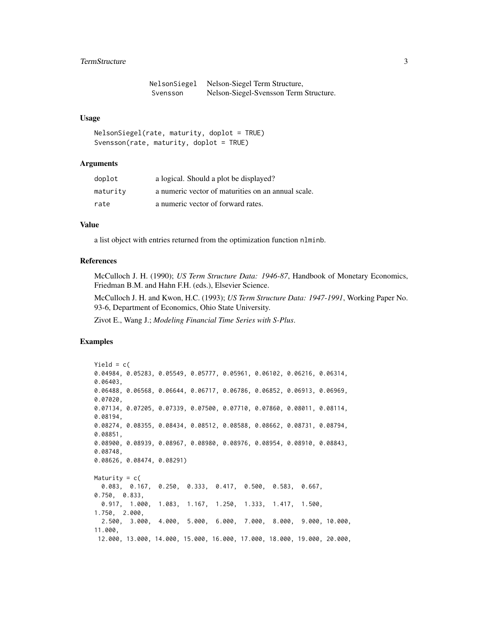#### **TermStructure** 3

| NelsonSiegel | Nelson-Siegel Term Structure,          |
|--------------|----------------------------------------|
| Svensson     | Nelson-Siegel-Svensson Term Structure. |

#### Usage

```
NelsonSiegel(rate, maturity, doplot = TRUE)
Svensson(rate, maturity, doplot = TRUE)
```
#### Arguments

| doplot   | a logical. Should a plot be displayed?             |
|----------|----------------------------------------------------|
| maturity | a numeric vector of maturities on an annual scale. |
| rate     | a numeric vector of forward rates.                 |

#### Value

a list object with entries returned from the optimization function nlminb.

#### References

McCulloch J. H. (1990); *US Term Structure Data: 1946-87*, Handbook of Monetary Economics, Friedman B.M. and Hahn F.H. (eds.), Elsevier Science.

McCulloch J. H. and Kwon, H.C. (1993); *US Term Structure Data: 1947-1991*, Working Paper No. 93-6, Department of Economics, Ohio State University.

Zivot E., Wang J.; *Modeling Financial Time Series with S-Plus*.

#### Examples

```
Yield = c(0.04984, 0.05283, 0.05549, 0.05777, 0.05961, 0.06102, 0.06216, 0.06314,
0.06403,
0.06488, 0.06568, 0.06644, 0.06717, 0.06786, 0.06852, 0.06913, 0.06969,
0.07020,
0.07134, 0.07205, 0.07339, 0.07500, 0.07710, 0.07860, 0.08011, 0.08114,
0.08194,
0.08274, 0.08355, 0.08434, 0.08512, 0.08588, 0.08662, 0.08731, 0.08794,
0.08851,
0.08900, 0.08939, 0.08967, 0.08980, 0.08976, 0.08954, 0.08910, 0.08843,
0.08748,
0.08626, 0.08474, 0.08291)
Maturity = c(0.083, 0.167, 0.250, 0.333, 0.417, 0.500, 0.583, 0.667,
0.750, 0.833,
 0.917, 1.000, 1.083, 1.167, 1.250, 1.333, 1.417, 1.500,
1.750, 2.000,
 2.500, 3.000, 4.000, 5.000, 6.000, 7.000, 8.000, 9.000, 10.000,
11.000,
12.000, 13.000, 14.000, 15.000, 16.000, 17.000, 18.000, 19.000, 20.000,
```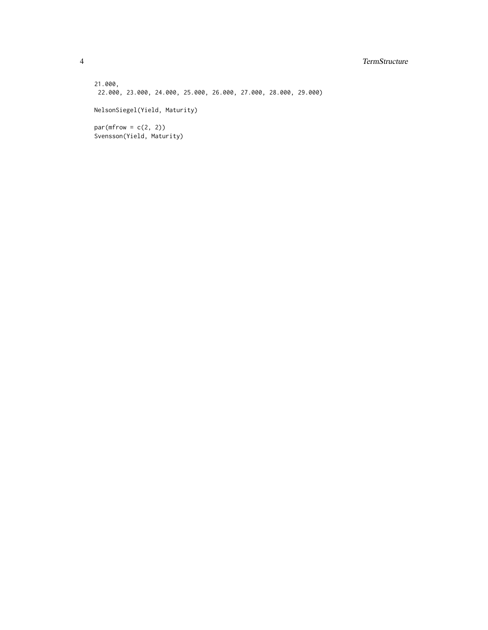#### 4 TermStructure

21.000, 22.000, 23.000, 24.000, 25.000, 26.000, 27.000, 28.000, 29.000) NelsonSiegel(Yield, Maturity)  $par(mfrow = c(2, 2))$ Svensson(Yield, Maturity)